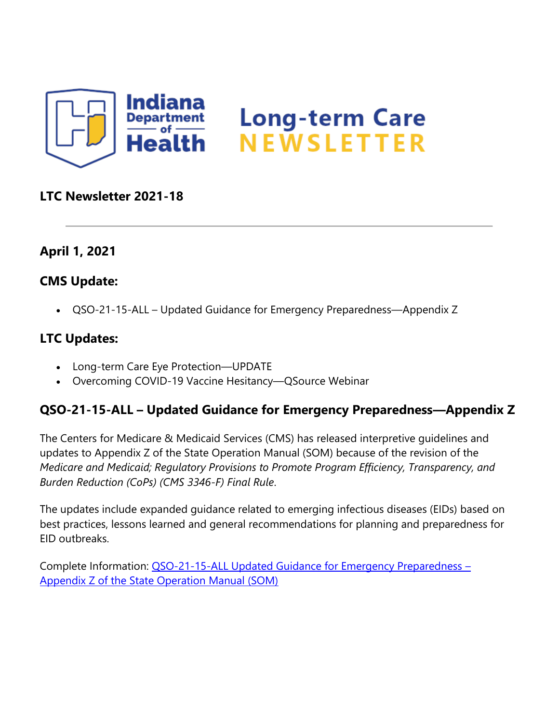

## **LTC Newsletter 2021-18**

## **April 1, 2021**

#### **CMS Update:**

• QSO-21-15-ALL – Updated Guidance for Emergency Preparedness—Appendix Z

#### **LTC Updates:**

- Long-term Care Eye Protection—UPDATE
- Overcoming COVID-19 Vaccine Hesitancy—QSource Webinar

## **QSO-21-15-ALL – Updated Guidance for Emergency Preparedness—Appendix Z**

The Centers for Medicare & Medicaid Services (CMS) has released interpretive guidelines and updates to Appendix Z of the State Operation Manual (SOM) because of the revision of the *Medicare and Medicaid; Regulatory Provisions to Promote Program Efficiency, Transparency, and Burden Reduction (CoPs) (CMS 3346-F) Final Rule*.

The updates include expanded guidance related to emerging infectious diseases (EIDs) based on best practices, lessons learned and general recommendations for planning and preparedness for EID outbreaks.

Complete Information: [QSO-21-15-ALL Updated Guidance for Emergency Preparedness](https://protect2.fireeye.com/v1/url?k=0757a4c2-58cc9c26-0753edc2-8621b744bf41-7c51d484ea3bb3c9&q=1&e=7bb98e37-c320-468d-b0d5-c74880681cb3&u=https%3A%2F%2Flnks.gd%2Fl%2FeyJhbGciOiJIUzI1NiJ9.eyJidWxsZXRpbl9saW5rX2lkIjoxMDAsInVyaSI6ImJwMjpjbGljayIsImJ1bGxldGluX2lkIjoiMjAyMTA0MDEuMzgwODcxNzEiLCJ1cmwiOiJodHRwczovL2NvbnRlbnQuZ292ZGVsaXZlcnkuY29tL2F0dGFjaG1lbnRzL0lOU0RILzIwMjEvMDMvMzEvZmlsZV9hdHRhY2htZW50cy8xNzQwNjI1L1FTTy0yMS0xNS5wZGYifQ.5T8jtgwnRDDrtW5Aljn1rIj0DZ-Fwf7-HBQZCIA4xgI%2Fs%2F1439130268%2Fbr%2F101319602523-l) – [Appendix Z of the State Operation Manual \(SOM\)](https://protect2.fireeye.com/v1/url?k=0757a4c2-58cc9c26-0753edc2-8621b744bf41-7c51d484ea3bb3c9&q=1&e=7bb98e37-c320-468d-b0d5-c74880681cb3&u=https%3A%2F%2Flnks.gd%2Fl%2FeyJhbGciOiJIUzI1NiJ9.eyJidWxsZXRpbl9saW5rX2lkIjoxMDAsInVyaSI6ImJwMjpjbGljayIsImJ1bGxldGluX2lkIjoiMjAyMTA0MDEuMzgwODcxNzEiLCJ1cmwiOiJodHRwczovL2NvbnRlbnQuZ292ZGVsaXZlcnkuY29tL2F0dGFjaG1lbnRzL0lOU0RILzIwMjEvMDMvMzEvZmlsZV9hdHRhY2htZW50cy8xNzQwNjI1L1FTTy0yMS0xNS5wZGYifQ.5T8jtgwnRDDrtW5Aljn1rIj0DZ-Fwf7-HBQZCIA4xgI%2Fs%2F1439130268%2Fbr%2F101319602523-l)